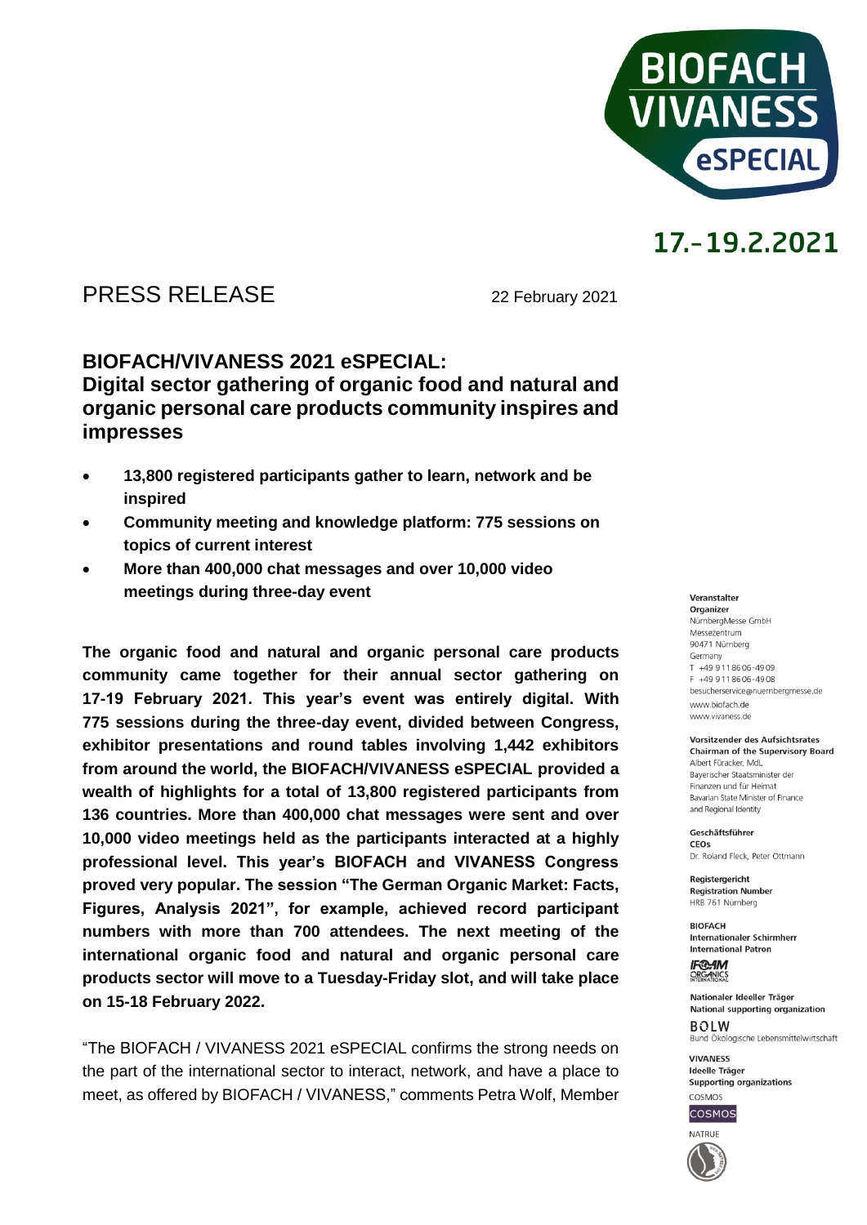

# 17.-19.2.2021

### PRESS RELEASE 22 February 2021

### **BIOFACH/VIVANESS 2021 eSPECIAL: Digital sector gathering of organic food and natural and organic personal care products community inspires and impresses**

- **13,800 registered participants gather to learn, network and be inspired**
- **Community meeting and knowledge platform: 775 sessions on topics of current interest**
- **More than 400,000 chat messages and over 10,000 video meetings during three-day event**

**The organic food and natural and organic personal care products community came together for their annual sector gathering on 17-19 February 2021. This year's event was entirely digital. With 775 sessions during the three-day event, divided between Congress, exhibitor presentations and round tables involving 1,442 exhibitors from around the world, the BIOFACH/VIVANESS eSPECIAL provided a wealth of highlights for a total of 13,800 registered participants from 136 countries. More than 400,000 chat messages were sent and over 10,000 video meetings held as the participants interacted at a highly professional level. This year's BIOFACH and VIVANESS Congress proved very popular. The session "The German Organic Market: Facts, Figures, Analysis 2021", for example, achieved record participant numbers with more than 700 attendees. The next meeting of the international organic food and natural and organic personal care products sector will move to a Tuesday-Friday slot, and will take place on 15-18 February 2022.**

"The BIOFACH / VIVANESS 2021 eSPECIAL confirms the strong needs on the part of the international sector to interact, network, and have a place to meet, as offered by BIOFACH / VIVANESS," comments Petra Wolf, Member

Veranstalter Organizer NürnbergMesse GmbH Messezentrum 90471 Nürnberg Germany  $T + 499118606 - 4909$ F +49 911 86 06 - 49 08 besucherservice@nuernbergmesse.de

www.biofach.de www.vivaness.de

#### Vorsitzender des Aufsichtsrates **Chairman of the Supervisory Board**

Albert Füracker, MdL Bayerischer Staatsminister der Finanzen und für Heimat Bavarian State Minister of Finance and Regional Identity

Geschäftsführer CEOS Dr. Roland Eleck, Peter Ottmann

Registergericht **Registration Number** HRB 761 Nürnberg

**BIOFACH** Internationaler Schirmherr **International Patron** 

**IF®AM** ORGANICS

Nationaler Ideeller Träger National supporting organization  $ROIM$ Bund Ökologische Lebensmittelwirtschaft

**VIVANESS** Ideelle Träger Supporting organizations



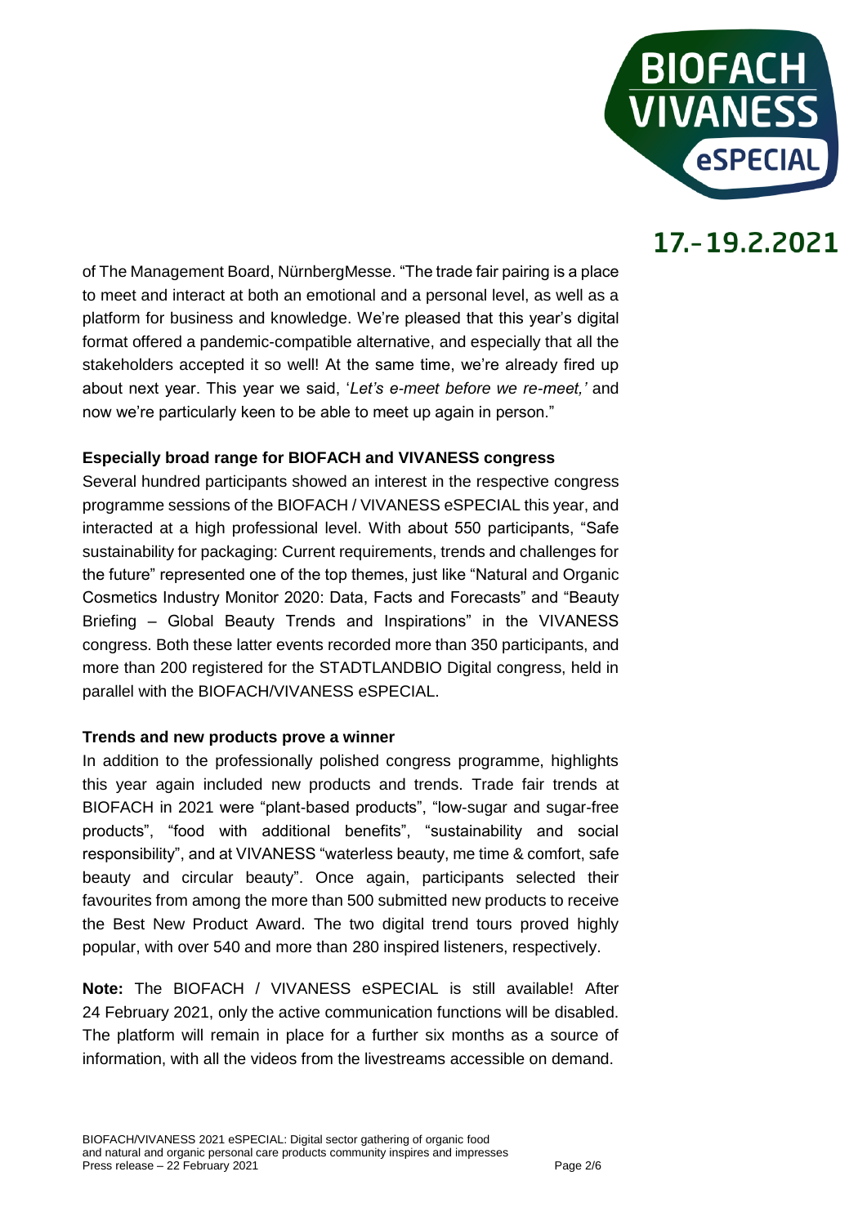

# 17.-19.2.2021

of The Management Board, NürnbergMesse. "The trade fair pairing is a place to meet and interact at both an emotional and a personal level, as well as a platform for business and knowledge. We're pleased that this year's digital format offered a pandemic-compatible alternative, and especially that all the stakeholders accepted it so well! At the same time, we're already fired up about next year. This year we said, '*Let's e-meet before we re-meet,'* and now we're particularly keen to be able to meet up again in person."

#### **Especially broad range for BIOFACH and VIVANESS congress**

Several hundred participants showed an interest in the respective congress programme sessions of the BIOFACH / VIVANESS eSPECIAL this year, and interacted at a high professional level. With about 550 participants, "Safe sustainability for packaging: Current requirements, trends and challenges for the future" represented one of the top themes, just like "Natural and Organic Cosmetics Industry Monitor 2020: Data, Facts and Forecasts" and "Beauty Briefing – Global Beauty Trends and Inspirations" in the VIVANESS congress. Both these latter events recorded more than 350 participants, and more than 200 registered for the STADTLANDBIO Digital congress, held in parallel with the BIOFACH/VIVANESS eSPECIAL.

#### **Trends and new products prove a winner**

In addition to the professionally polished congress programme, highlights this year again included new products and trends. Trade fair trends at BIOFACH in 2021 were "plant-based products", "low-sugar and sugar-free products", "food with additional benefits", "sustainability and social responsibility", and at VIVANESS "waterless beauty, me time & comfort, safe beauty and circular beauty". Once again, participants selected their favourites from among the more than 500 submitted new products to receive the Best New Product Award. The two digital trend tours proved highly popular, with over 540 and more than 280 inspired listeners, respectively.

**Note:** The BIOFACH / VIVANESS eSPECIAL is still available! After 24 February 2021, only the active communication functions will be disabled. The platform will remain in place for a further six months as a source of information, with all the videos from the livestreams accessible on demand.